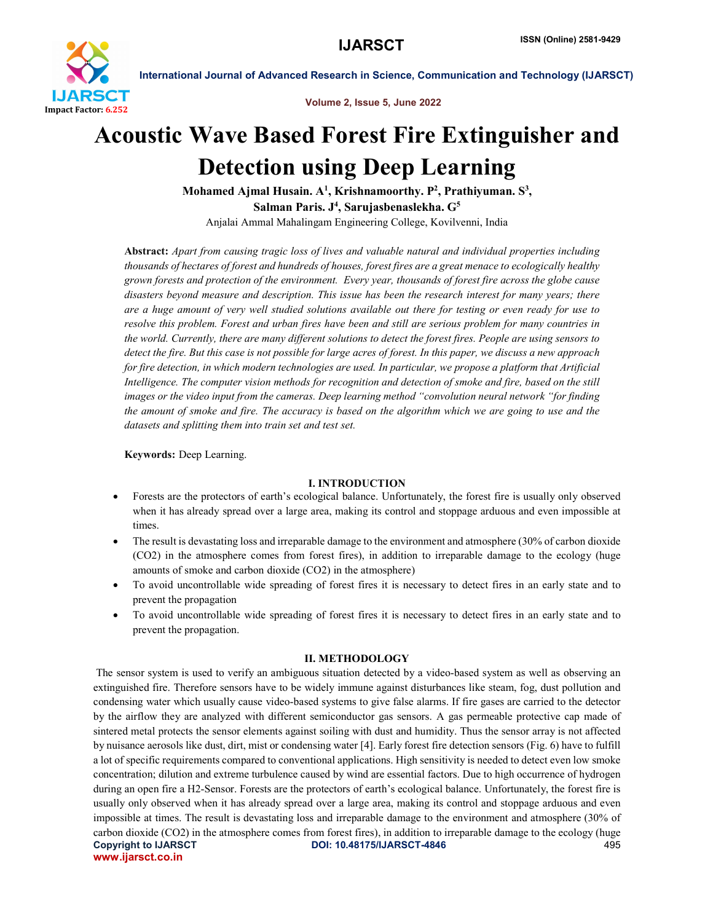

Volume 2, Issue 5, June 2022

# Acoustic Wave Based Forest Fire Extinguisher and Detection using Deep Learning

Mohamed Ajmal Husain.  $\rm A^1$ , Krishnamoorthy.  $\rm P^2$ , Prathiyuman.  $\rm S^3,$ Salman Paris. J<sup>4</sup>, Sarujasbenaslekha. G<sup>5</sup>

Anjalai Ammal Mahalingam Engineering College, Kovilvenni, India

Abstract: *Apart from causing tragic loss of lives and valuable natural and individual properties including thousands of hectares of forest and hundreds of houses, forest fires are a great menace to ecologically healthy grown forests and protection of the environment. Every year, thousands of forest fire across the globe cause disasters beyond measure and description. This issue has been the research interest for many years; there are a huge amount of very well studied solutions available out there for testing or even ready for use to resolve this problem. Forest and urban fires have been and still are serious problem for many countries in the world. Currently, there are many different solutions to detect the forest fires. People are using sensors to detect the fire. But this case is not possible for large acres of forest. In this paper, we discuss a new approach for fire detection, in which modern technologies are used. In particular, we propose a platform that Artificial Intelligence. The computer vision methods for recognition and detection of smoke and fire, based on the still images or the video input from the cameras. Deep learning method "convolution neural network "for finding the amount of smoke and fire. The accuracy is based on the algorithm which we are going to use and the datasets and splitting them into train set and test set.*

Keywords: Deep Learning.

## I. INTRODUCTION

- Forests are the protectors of earth's ecological balance. Unfortunately, the forest fire is usually only observed when it has already spread over a large area, making its control and stoppage arduous and even impossible at times.
- The result is devastating loss and irreparable damage to the environment and atmosphere (30% of carbon dioxide (CO2) in the atmosphere comes from forest fires), in addition to irreparable damage to the ecology (huge amounts of smoke and carbon dioxide (CO2) in the atmosphere)
- To avoid uncontrollable wide spreading of forest fires it is necessary to detect fires in an early state and to prevent the propagation
- To avoid uncontrollable wide spreading of forest fires it is necessary to detect fires in an early state and to prevent the propagation.

# II. METHODOLOGY

Copyright to IJARSCT DOI: 10.48175/IJARSCT-4846 495 www.ijarsct.co.in The sensor system is used to verify an ambiguous situation detected by a video-based system as well as observing an extinguished fire. Therefore sensors have to be widely immune against disturbances like steam, fog, dust pollution and condensing water which usually cause video-based systems to give false alarms. If fire gases are carried to the detector by the airflow they are analyzed with different semiconductor gas sensors. A gas permeable protective cap made of sintered metal protects the sensor elements against soiling with dust and humidity. Thus the sensor array is not affected by nuisance aerosols like dust, dirt, mist or condensing water [4]. Early forest fire detection sensors (Fig. 6) have to fulfill a lot of specific requirements compared to conventional applications. High sensitivity is needed to detect even low smoke concentration; dilution and extreme turbulence caused by wind are essential factors. Due to high occurrence of hydrogen during an open fire a H2-Sensor. Forests are the protectors of earth's ecological balance. Unfortunately, the forest fire is usually only observed when it has already spread over a large area, making its control and stoppage arduous and even impossible at times. The result is devastating loss and irreparable damage to the environment and atmosphere (30% of carbon dioxide (CO2) in the atmosphere comes from forest fires), in addition to irreparable damage to the ecology (huge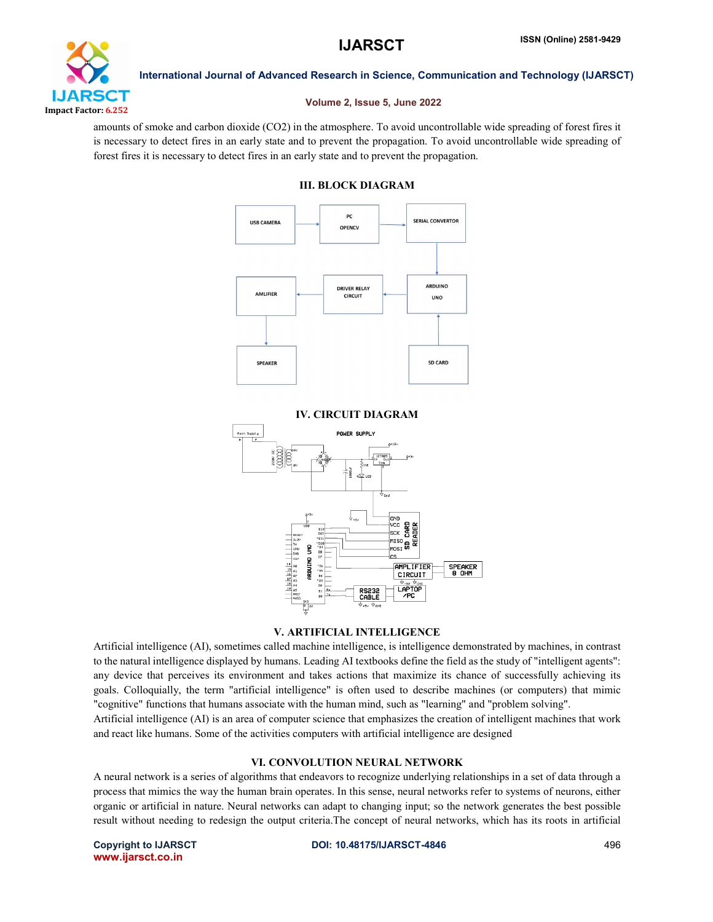

# Volume 2, Issue 5, June 2022

amounts of smoke and carbon dioxide (CO2) in the atmosphere. To avoid uncontrollable wide spreading of forest fires it is necessary to detect fires in an early state and to prevent the propagation. To avoid uncontrollable wide spreading of forest fires it is necessary to detect fires in an early state and to prevent the propagation.

# III. BLOCK DIAGRAM



# IV. CIRCUIT DIAGRAM



# V. ARTIFICIAL INTELLIGENCE

Artificial intelligence (AI), sometimes called machine intelligence, is intelligence demonstrated by machines, in contrast to the natural intelligence displayed by humans. Leading AI textbooks define the field as the study of "intelligent agents": any device that perceives its environment and takes actions that maximize its chance of successfully achieving its goals. Colloquially, the term "artificial intelligence" is often used to describe machines (or computers) that mimic "cognitive" functions that humans associate with the human mind, such as "learning" and "problem solving".

Artificial intelligence (AI) is an area of computer science that emphasizes the creation of intelligent machines that work and react like humans. Some of the activities computers with artificial intelligence are designed

## VI. CONVOLUTION NEURAL NETWORK

A neural network is a series of algorithms that endeavors to recognize underlying relationships in a set of data through a process that mimics the way the human brain operates. In this sense, neural networks refer to systems of neurons, either organic or artificial in nature. Neural networks can adapt to changing input; so the network generates the best possible result without needing to redesign the output criteria.The concept of neural networks, which has its roots in artificial

www.ijarsct.co.in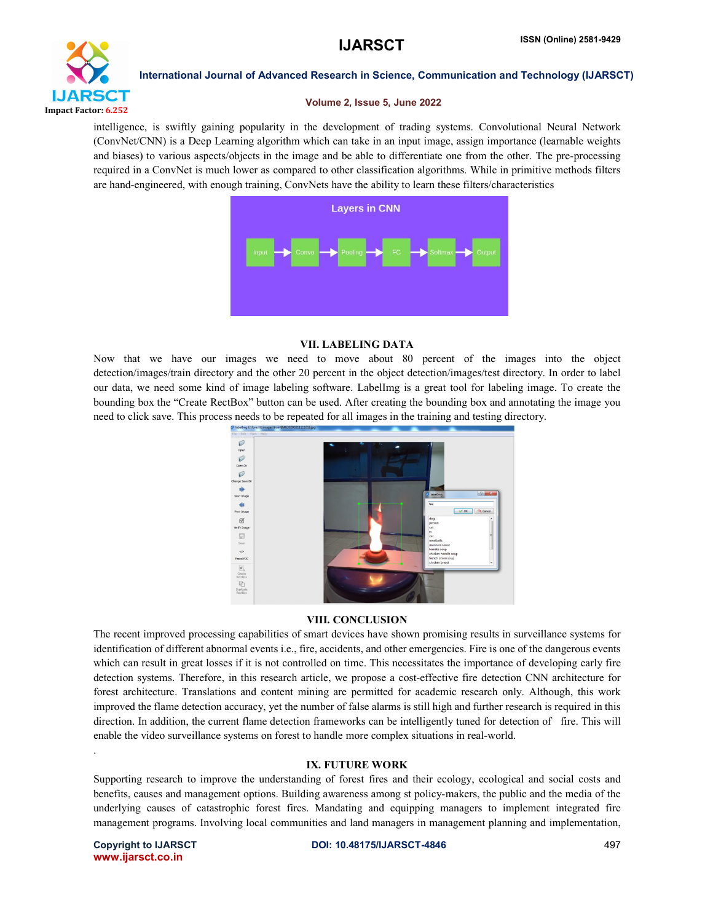

### Volume 2, Issue 5, June 2022

intelligence, is swiftly gaining popularity in the development of trading systems. Convolutional Neural Network (ConvNet/CNN) is a Deep Learning algorithm which can take in an input image, assign importance (learnable weights and biases) to various aspects/objects in the image and be able to differentiate one from the other. The pre-processing required in a ConvNet is much lower as compared to other classification algorithms. While in primitive methods filters are hand-engineered, with enough training, ConvNets have the ability to learn these filters/characteristics



# VII. LABELING DATA

Now that we have our images we need to move about 80 percent of the images into the object detection/images/train directory and the other 20 percent in the object detection/images/test directory. In order to label our data, we need some kind of image labeling software. LabelImg is a great tool for labeling image. To create the bounding box the "Create RectBox" button can be used. After creating the bounding box and annotating the image you need to click save. This process needs to be repeated for all images in the training and testing directory.



# VIII. CONCLUSION

The recent improved processing capabilities of smart devices have shown promising results in surveillance systems for identification of different abnormal events i.e., fire, accidents, and other emergencies. Fire is one of the dangerous events which can result in great losses if it is not controlled on time. This necessitates the importance of developing early fire detection systems. Therefore, in this research article, we propose a cost-effective fire detection CNN architecture for forest architecture. Translations and content mining are permitted for academic research only. Although, this work improved the flame detection accuracy, yet the number of false alarms is still high and further research is required in this direction. In addition, the current flame detection frameworks can be intelligently tuned for detection of fire. This will enable the video surveillance systems on forest to handle more complex situations in real-world.

# IX. FUTURE WORK

Supporting research to improve the understanding of forest fires and their ecology, ecological and social costs and benefits, causes and management options. Building awareness among st policy-makers, the public and the media of the underlying causes of catastrophic forest fires. Mandating and equipping managers to implement integrated fire management programs. Involving local communities and land managers in management planning and implementation,

www.ijarsct.co.in

.